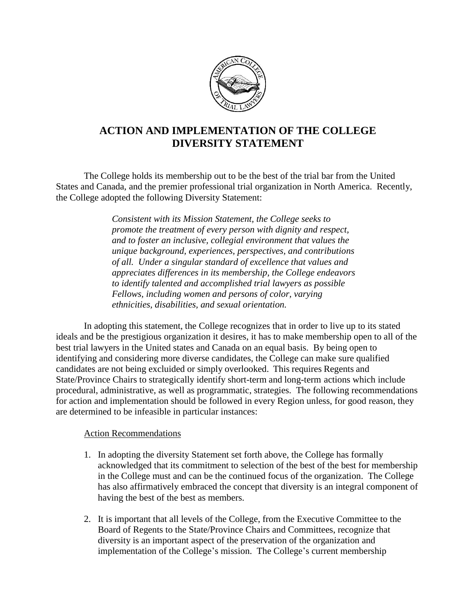

## **ACTION AND IMPLEMENTATION OF THE COLLEGE DIVERSITY STATEMENT**

The College holds its membership out to be the best of the trial bar from the United States and Canada, and the premier professional trial organization in North America. Recently, the College adopted the following Diversity Statement:

> *Consistent with its Mission Statement, the College seeks to promote the treatment of every person with dignity and respect, and to foster an inclusive, collegial environment that values the unique background, experiences, perspectives, and contributions of all. Under a singular standard of excellence that values and appreciates differences in its membership, the College endeavors to identify talented and accomplished trial lawyers as possible Fellows, including women and persons of color, varying ethnicities, disabilities, and sexual orientation.*

In adopting this statement, the College recognizes that in order to live up to its stated ideals and be the prestigious organization it desires, it has to make membership open to all of the best trial lawyers in the United states and Canada on an equal basis. By being open to identifying and considering more diverse candidates, the College can make sure qualified candidates are not being excluided or simply overlooked. This requires Regents and State/Province Chairs to strategically identify short-term and long-term actions which include procedural, administrative, as well as programmatic, strategies. The following recommendations for action and implementation should be followed in every Region unless, for good reason, they are determined to be infeasible in particular instances:

## Action Recommendations

- 1. In adopting the diversity Statement set forth above, the College has formally acknowledged that its commitment to selection of the best of the best for membership in the College must and can be the continued focus of the organization. The College has also affirmatively embraced the concept that diversity is an integral component of having the best of the best as members.
- 2. It is important that all levels of the College, from the Executive Committee to the Board of Regents to the State/Province Chairs and Committees, recognize that diversity is an important aspect of the preservation of the organization and implementation of the College's mission. The College's current membership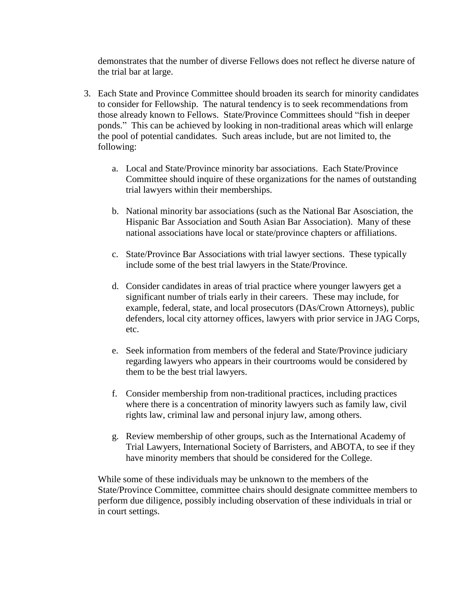demonstrates that the number of diverse Fellows does not reflect he diverse nature of the trial bar at large.

- 3. Each State and Province Committee should broaden its search for minority candidates to consider for Fellowship. The natural tendency is to seek recommendations from those already known to Fellows. State/Province Committees should "fish in deeper ponds." This can be achieved by looking in non-traditional areas which will enlarge the pool of potential candidates. Such areas include, but are not limited to, the following:
	- a. Local and State/Province minority bar associations. Each State/Province Committee should inquire of these organizations for the names of outstanding trial lawyers within their memberships.
	- b. National minority bar associations (such as the National Bar Asosciation, the Hispanic Bar Association and South Asian Bar Association). Many of these national associations have local or state/province chapters or affiliations.
	- c. State/Province Bar Associations with trial lawyer sections. These typically include some of the best trial lawyers in the State/Province.
	- d. Consider candidates in areas of trial practice where younger lawyers get a significant number of trials early in their careers. These may include, for example, federal, state, and local prosecutors (DAs/Crown Attorneys), public defenders, local city attorney offices, lawyers with prior service in JAG Corps, etc.
	- e. Seek information from members of the federal and State/Province judiciary regarding lawyers who appears in their courtrooms would be considered by them to be the best trial lawyers.
	- f. Consider membership from non-traditional practices, including practices where there is a concentration of minority lawyers such as family law, civil rights law, criminal law and personal injury law, among others.
	- g. Review membership of other groups, such as the International Academy of Trial Lawyers, International Society of Barristers, and ABOTA, to see if they have minority members that should be considered for the College.

While some of these individuals may be unknown to the members of the State/Province Committee, committee chairs should designate committee members to perform due diligence, possibly including observation of these individuals in trial or in court settings.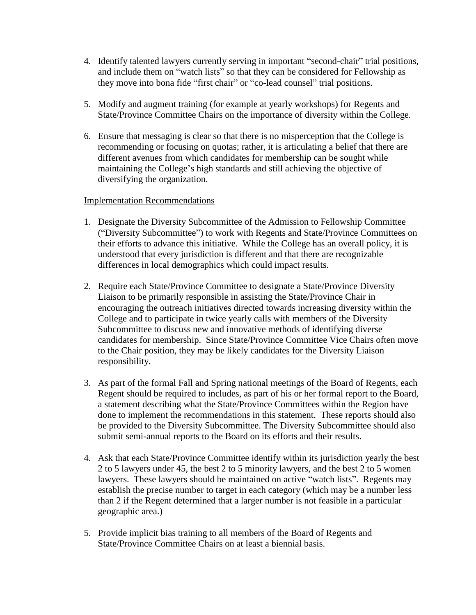- 4. Identify talented lawyers currently serving in important "second-chair" trial positions, and include them on "watch lists" so that they can be considered for Fellowship as they move into bona fide "first chair" or "co-lead counsel" trial positions.
- 5. Modify and augment training (for example at yearly workshops) for Regents and State/Province Committee Chairs on the importance of diversity within the College.
- 6. Ensure that messaging is clear so that there is no misperception that the College is recommending or focusing on quotas; rather, it is articulating a belief that there are different avenues from which candidates for membership can be sought while maintaining the College's high standards and still achieving the objective of diversifying the organization.

## Implementation Recommendations

- 1. Designate the Diversity Subcommittee of the Admission to Fellowship Committee ("Diversity Subcommittee") to work with Regents and State/Province Committees on their efforts to advance this initiative. While the College has an overall policy, it is understood that every jurisdiction is different and that there are recognizable differences in local demographics which could impact results.
- 2. Require each State/Province Committee to designate a State/Province Diversity Liaison to be primarily responsible in assisting the State/Province Chair in encouraging the outreach initiatives directed towards increasing diversity within the College and to participate in twice yearly calls with members of the Diversity Subcommittee to discuss new and innovative methods of identifying diverse candidates for membership. Since State/Province Committee Vice Chairs often move to the Chair position, they may be likely candidates for the Diversity Liaison responsibility.
- 3. As part of the formal Fall and Spring national meetings of the Board of Regents, each Regent should be required to includes, as part of his or her formal report to the Board, a statement describing what the State/Province Committees within the Region have done to implement the recommendations in this statement. These reports should also be provided to the Diversity Subcommittee. The Diversity Subcommittee should also submit semi-annual reports to the Board on its efforts and their results.
- 4. Ask that each State/Province Committee identify within its jurisdiction yearly the best 2 to 5 lawyers under 45, the best 2 to 5 minority lawyers, and the best 2 to 5 women lawyers. These lawyers should be maintained on active "watch lists". Regents may establish the precise number to target in each category (which may be a number less than 2 if the Regent determined that a larger number is not feasible in a particular geographic area.)
- 5. Provide implicit bias training to all members of the Board of Regents and State/Province Committee Chairs on at least a biennial basis.